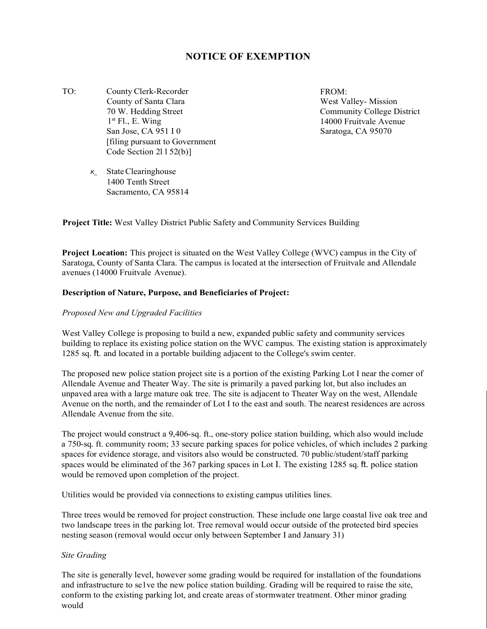# **NOTICE OF EXEMPTION**

TO: County Clerk-Recorder County of Santa Clara 70 W. Hedding Street  $1<sup>st</sup>$  Fl., E. Wing San Jose, CA 951 I 0 [filing pursuant to Government Code Section 2l l 52(b)]

FROM: West Valley- Mission Community College District 14000 Fruitvale Avenue Saratoga, CA 95070

*K\_* StateClearinghouse 1400 Tenth Street Sacramento, CA 95814

**Project Title:** West Valley District Public Safety and Community Services Building

**Project Location:** This project is situated on the West Valley College (WVC) campus in the City of Saratoga, County of Santa Clara. The campus is located at the intersection of Fruitvale and Allendale avenues (14000 Fruitvale Avenue).

#### **Description of Nature, Purpose, and Beneficiaries of Project:**

#### *Proposed New and Upgraded Facilities*

West Valley College is proposing to build a new, expanded public safety and community services building to replace its existing police station on the WVC campus. The existing station is approximately 1285 sq. ft. and located in a portable building adjacent to the College's swim center.

The proposed new police station project site is a portion of the existing Parking Lot I near the comer of Allendale Avenue and Theater Way. The site is primarily a paved parking lot, but also includes an unpaved area with a large mature oak tree. The site is adjacent to Theater Way on the west, Allendale Avenue on the north, and the remainder of Lot I to the east and south. The nearest residences are across Allendale Avenue from the site.

The project would construct a 9,406-sq. ft., one-story police station building, which also would include a 750-sq. ft. community room; 33 secure parking spaces for police vehicles, of which includes 2 parking spaces for evidence storage, and visitors also would be constructed. 70 public/student/staff parking spaces would be eliminated of the 367 parking spaces in Lot I. The existing 1285 sq. ft. police station would be removed upon completion of the project.

Utilities would be provided via connections to existing campus utilities lines.

Three trees would be removed for project construction. These include one large coastal live oak tree and two landscape trees in the parking lot. Tree removal would occur outside of the protected bird species nesting season (removal would occur only between September I and January 31)

#### *Site Grading*

The site is generally level, however some grading would be required for installation of the foundations and infrastructure to se1ve the new police station building. Grading will be required to raise the site, conform to the existing parking lot, and create areas of stormwater treatment. Other minor grading would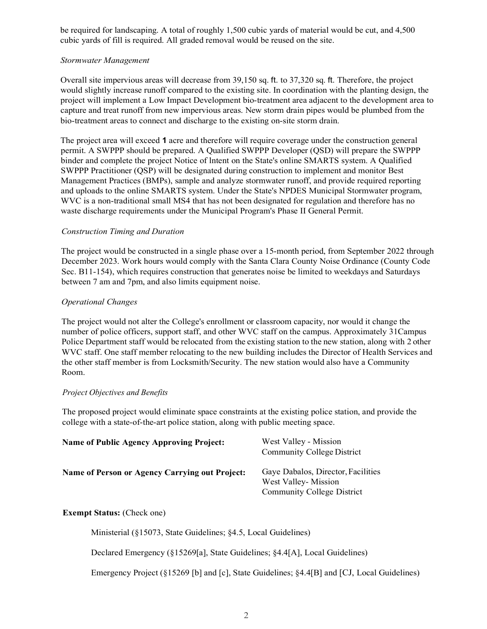be required for landscaping. A total of roughly 1,500 cubic yards of material would be cut, and 4,500 cubic yards of fill is required. All graded removal would be reused on the site.

## *Stormwater Management*

Overall site impervious areas will decrease from 39,150 sq. ft. to 37,320 sq. ft. Therefore, the project would slightly increase runoff compared to the existing site. In coordination with the planting design, the project will implement a Low Impact Development bio-treatment area adjacent to the development area to capture and treat runoff from new impervious areas. New storm drain pipes would be plumbed from the bio-treatment areas to connect and discharge to the existing on-site storm drain.

The project area will exceed **1** acre and therefore will require coverage under the construction general permit. A SWPPP should be prepared. A Qualified SWPPP Developer (QSD) will prepare the SWPPP binder and complete the project Notice of lntent on the State's online SMARTS system. A Qualified SWPPP Practitioner (QSP) will be designated during construction to implement and monitor Best Management Practices (BMPs), sample and analyze stormwater runoff, and provide required reporting and uploads to the online SMARTS system. Under the State's NPDES Municipal Stormwater program, WVC is a non-traditional small MS4 that has not been designated for regulation and therefore has no waste discharge requirements under the Municipal Program's Phase II General Permit.

## *Construction Timing and Duration*

The project would be constructed in a single phase over a 15-month period, from September 2022 through December 2023. Work hours would comply with the Santa Clara County Noise Ordinance (County Code Sec. B11-154), which requires construction that generates noise be limited to weekdays and Saturdays between 7 am and 7pm, and also limits equipment noise.

## *Operational Changes*

The project would not alter the College's enrollment or classroom capacity, nor would it change the number of police officers, support staff, and other WVC staff on the campus. Approximately 31Campus Police Department staff would be relocated from the existing station to the new station, along with 2 other WVC staff. One staff member relocating to the new building includes the Director of Health Services and the other staff member is from Locksmith/Security. The new station would also have a Community Room.

## *Project Objectives and Benefits*

The proposed project would eliminate space constraints at the existing police station, and provide the college with a state-of-the-art police station, along with public meeting space.

| <b>Name of Public Agency Approving Project:</b> | West Valley - Mission<br><b>Community College District</b>                                     |
|-------------------------------------------------|------------------------------------------------------------------------------------------------|
| Name of Person or Agency Carrying out Project:  | Gaye Dabalos, Director, Facilities<br>West Valley-Mission<br><b>Community College District</b> |

## **Exempt Status:** (Check one)

Ministerial (§15073, State Guidelines; §4.5, Local Guidelines)

Declared Emergency (§15269[a], State Guidelines; §4.4[A], Local Guidelines)

Emergency Project (§15269 [b] and [c], State Guidelines; §4.4[B] and [CJ, Local Guidelines)